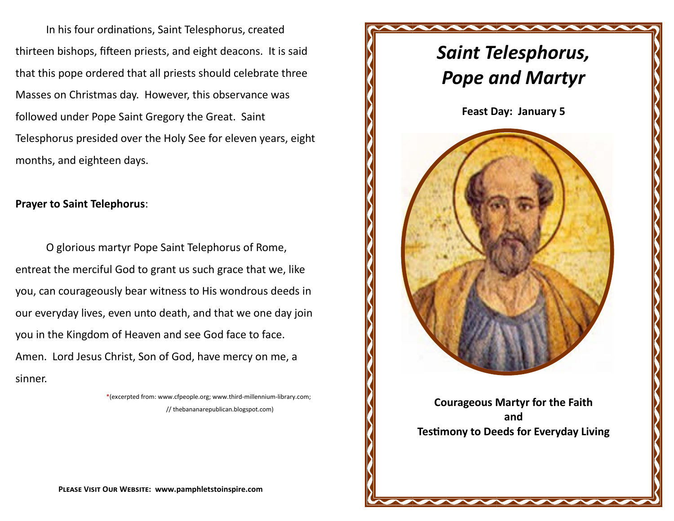In his four ordinations, Saint Telesphorus, created thirteen bishops, fifteen priests, and eight deacons. It is said that this pope ordered that all priests should celebrate three Masses on Christmas day. However, this observance was followed under Pope Saint Gregory the Great. Saint Telesphorus presided over the Holy See for eleven years, eight months, and eighteen days.

## **Prayer to Saint Telephorus**:

O glorious martyr Pope Saint Telephorus of Rome, entreat the merciful God to grant us such grace that we, like you, can courageously bear witness to His wondrous deeds in our everyday lives, even unto death, and that we one day join you in the Kingdom of Heaven and see God face to face. Amen. Lord Jesus Christ, Son of God, have mercy on me, a sinner.

> \*(excerpted from: www.cfpeople.org; www.third-millennium-library.com; // thebananarepublican.blogspot.com)



**Please Visit Our Website: www.pamphletstoinspire.com**